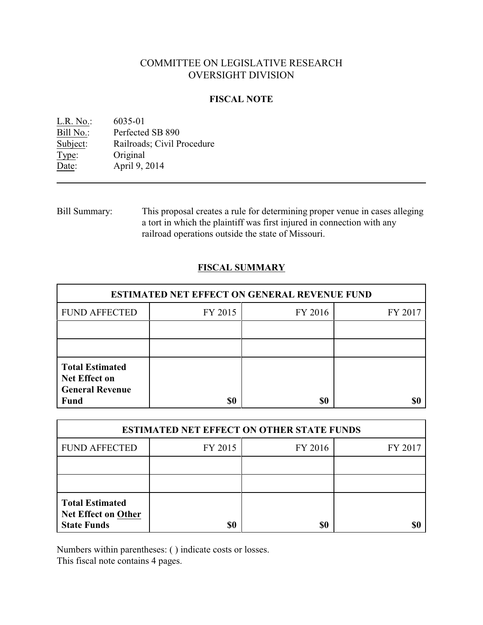# COMMITTEE ON LEGISLATIVE RESEARCH OVERSIGHT DIVISION

### **FISCAL NOTE**

| L.R. No.: | 6035-01                    |
|-----------|----------------------------|
| Bill No.: | Perfected SB 890           |
| Subject:  | Railroads; Civil Procedure |
| Type:     | Original                   |
| Date:     | April 9, 2014              |

Bill Summary: This proposal creates a rule for determining proper venue in cases alleging a tort in which the plaintiff was first injured in connection with any railroad operations outside the state of Missouri.

## **FISCAL SUMMARY**

| <b>ESTIMATED NET EFFECT ON GENERAL REVENUE FUND</b>                                     |         |         |         |  |
|-----------------------------------------------------------------------------------------|---------|---------|---------|--|
| <b>FUND AFFECTED</b>                                                                    | FY 2015 | FY 2016 | FY 2017 |  |
|                                                                                         |         |         |         |  |
|                                                                                         |         |         |         |  |
| <b>Total Estimated</b><br><b>Net Effect on</b><br><b>General Revenue</b><br><b>Fund</b> | \$0     | \$0     |         |  |

| <b>ESTIMATED NET EFFECT ON OTHER STATE FUNDS</b>                           |         |         |         |  |
|----------------------------------------------------------------------------|---------|---------|---------|--|
| <b>FUND AFFECTED</b>                                                       | FY 2015 | FY 2016 | FY 2017 |  |
|                                                                            |         |         |         |  |
|                                                                            |         |         |         |  |
| <b>Total Estimated</b><br><b>Net Effect on Other</b><br><b>State Funds</b> | \$0     | \$0     |         |  |

Numbers within parentheses: ( ) indicate costs or losses.

This fiscal note contains 4 pages.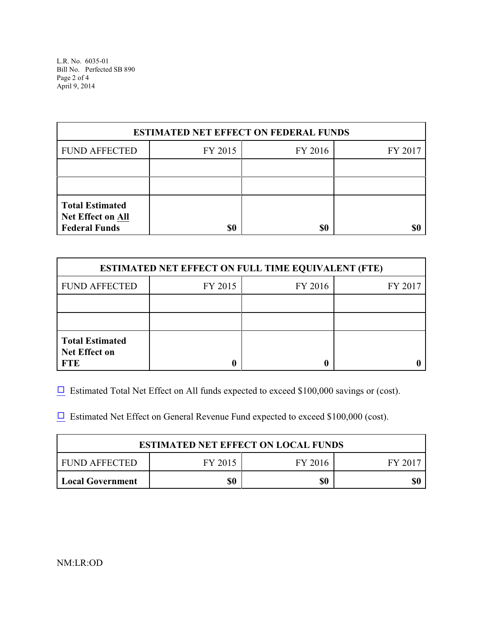L.R. No. 6035-01 Bill No. Perfected SB 890 Page 2 of 4 April 9, 2014

| <b>ESTIMATED NET EFFECT ON FEDERAL FUNDS</b>                        |         |         |         |  |
|---------------------------------------------------------------------|---------|---------|---------|--|
| <b>FUND AFFECTED</b>                                                | FY 2015 | FY 2016 | FY 2017 |  |
|                                                                     |         |         |         |  |
|                                                                     |         |         |         |  |
| <b>Total Estimated</b><br>Net Effect on All<br><b>Federal Funds</b> | \$0     | \$0     |         |  |

| <b>ESTIMATED NET EFFECT ON FULL TIME EQUIVALENT (FTE)</b>    |         |         |         |  |
|--------------------------------------------------------------|---------|---------|---------|--|
| <b>FUND AFFECTED</b>                                         | FY 2015 | FY 2016 | FY 2017 |  |
|                                                              |         |         |         |  |
|                                                              |         |         |         |  |
| <b>Total Estimated</b><br><b>Net Effect on</b><br><b>FTE</b> |         |         |         |  |

 $\Box$  Estimated Total Net Effect on All funds expected to exceed \$100,000 savings or (cost).

 $\Box$  Estimated Net Effect on General Revenue Fund expected to exceed \$100,000 (cost).

| <b>ESTIMATED NET EFFECT ON LOCAL FUNDS</b> |         |         |         |
|--------------------------------------------|---------|---------|---------|
| FUND AFFECTED                              | FY 2015 | FY 2016 | FY 2017 |
| <b>Local Government</b>                    | \$0     | \$0     |         |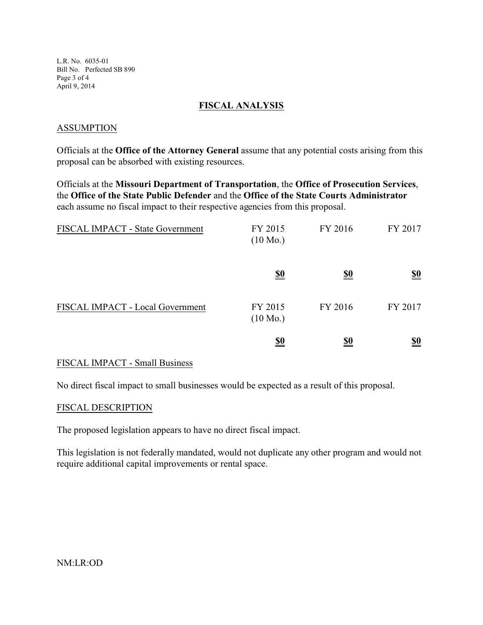L.R. No. 6035-01 Bill No. Perfected SB 890 Page 3 of 4 April 9, 2014

### **FISCAL ANALYSIS**

#### ASSUMPTION

Officials at the **Office of the Attorney General** assume that any potential costs arising from this proposal can be absorbed with existing resources.

Officials at the **Missouri Department of Transportation**, the **Office of Prosecution Services**, the **Office of the State Public Defender** and the **Office of the State Courts Administrator** each assume no fiscal impact to their respective agencies from this proposal.

| FISCAL IMPACT - State Government | FY 2015<br>$(10 \text{ Mo.})$ | FY 2016    | FY 2017                       |
|----------------------------------|-------------------------------|------------|-------------------------------|
|                                  | <u>\$0</u>                    | <u>\$0</u> | $\underline{\underline{\$0}}$ |
| FISCAL IMPACT - Local Government | FY 2015<br>$(10 \text{ Mo.})$ | FY 2016    | FY 2017                       |
|                                  | $\underline{\underline{\$0}}$ | <u>\$0</u> | $\underline{\underline{\$0}}$ |

#### FISCAL IMPACT - Small Business

No direct fiscal impact to small businesses would be expected as a result of this proposal.

#### FISCAL DESCRIPTION

The proposed legislation appears to have no direct fiscal impact.

This legislation is not federally mandated, would not duplicate any other program and would not require additional capital improvements or rental space.